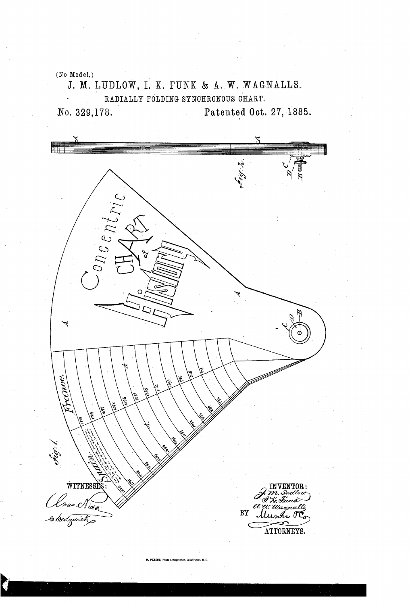(No Model.)

J. M. LUDLOW, I. K. FUNK & A. W. WAGNALLS. RADIALLY FOLDING SYNOHRONOUS CHART.

No. 329,178. Patented Oct. 27, 1885.